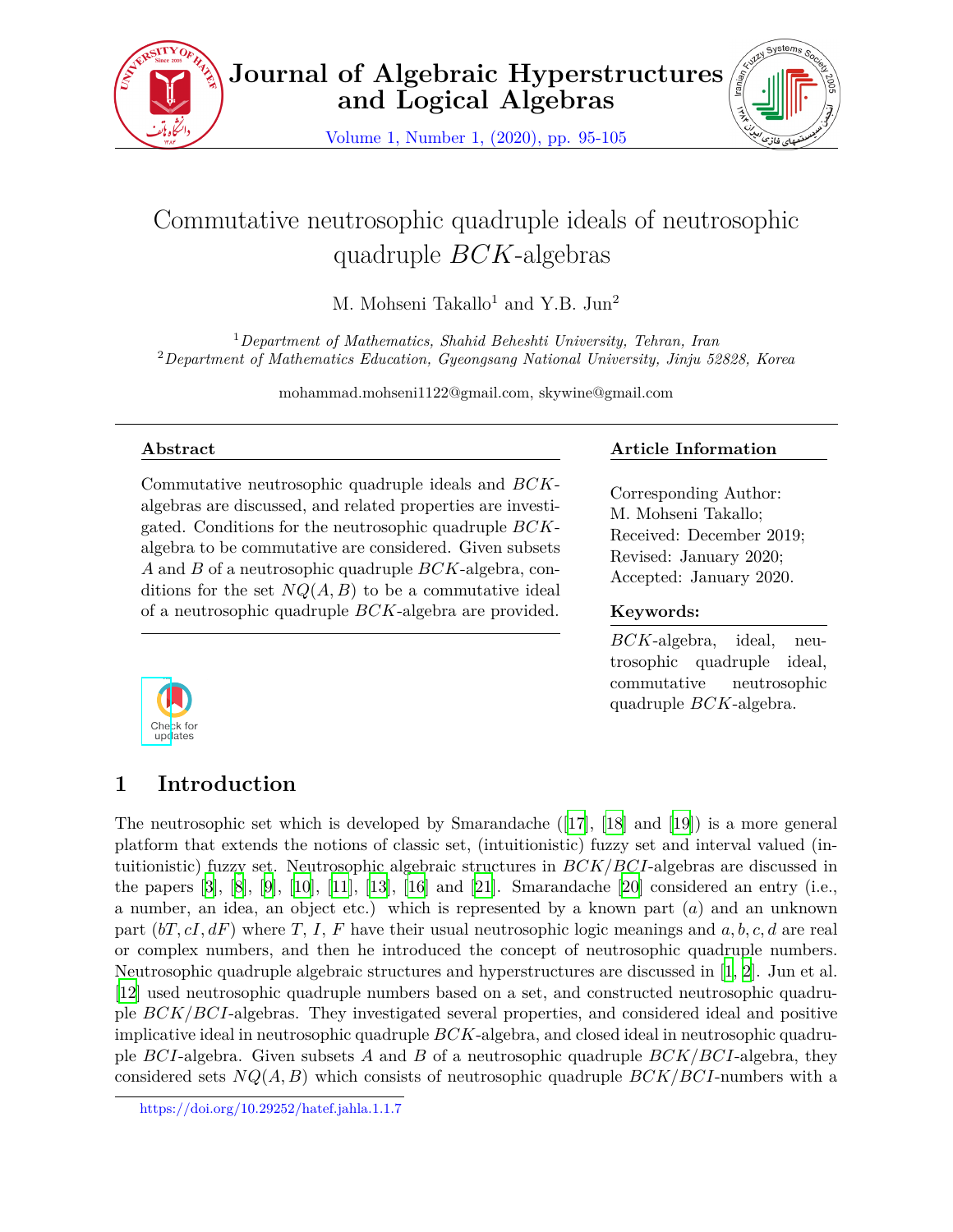

**Journal of Algebraic Hyperstructures and Logical Algebras**

Volume 1, Number 1, (2020), pp. 95-105



# Commutative neutrosophic quadruple ideals of neutrosophic quadruple *BCK*-algebras

M. Mohseni Takallo<sup>1</sup> and Y.B.  $\text{Jun}^2$ 

<sup>1</sup>*Department of Mathematics, Shahid Beheshti University, Tehran, Iran* <sup>2</sup>*Department of Mathematics Education, Gyeongsang National University, Jinju 52828, Korea*

mohammad.mohseni1122@gmail.com, skywine@gmail.com

### **Abstract**

Commutative neutrosophic quadruple ideals and *BCK*algebras are discussed, and related properties are investigated. Conditions for the neutrosophic quadruple *BCK*algebra to be commutative are considered. Given subsets *A* and *B* of a neutrosophic quadruple *BCK*-algebra, conditions for the set  $NQ(A, B)$  to be a commutative ideal of a neutrosophic quadruple *BCK*-algebra are provided.

### **Article Information**

Corresponding Author: M. Mohseni Takallo; Received: December 2019; Revised: January 2020; Accepted: January 2020.

### **Keywords:**

*BCK*-algebra, ideal, neutrosophic quadruple ideal, commutative neutrosophic quadruple *BCK*-algebra.



## **1 Introduction**

The neutrosophic set which is developed by Smarandache ([[17\]](#page-10-0), [\[18](#page-10-1)] and [[19](#page-10-2)]) is a more general platform that extends the notions of classic set, (intuitionistic) fuzzy set and interval valued (intuitionistic) fuzzy set. Neutrosophic algebraic structures in *BCK/BCI*-algebras are discussed in the papers  $[3]$  $[3]$  $[3]$ ,  $[8]$  $[8]$  $[8]$ ,  $[9]$  $[9]$  $[9]$ ,  $[10]$  $[10]$ ,  $[11]$ ,  $[13]$  $[13]$ ,  $[16]$  and  $[21]$ . Smarandache  $[20]$  $[20]$  considered an entry (i.e., a number, an idea, an object etc.) which is represented by a known part (*a*) and an unknown part (*bT, cI, dF*) where *T, I, F* have their usual neutrosophic logic meanings and *a, b, c, d* are real or complex numbers, and then he introduced the concept of neutrosophic quadruple numbers. Neutrosophic quadruple algebraic structures and hyperstructures are discussed in [[1](#page-9-4), [2\]](#page-9-5). Jun et al. [[12\]](#page-10-8) used neutrosophic quadruple numbers based on a set, and constructed neutrosophic quadruple *BCK/BCI*-algebras. They investigated several properties, and considered ideal and positive implicative ideal in neutrosophic quadruple *BCK*-algebra, and closed ideal in neutrosophic quadruple *BCI*-algebra. Given subsets *A* and *B* of a neutrosophic quadruple *BCK/BCI*-algebra, they considered sets *NQ*(*A, B*) which consists of neutrosophic quadruple *BCK/BCI*-numbers with a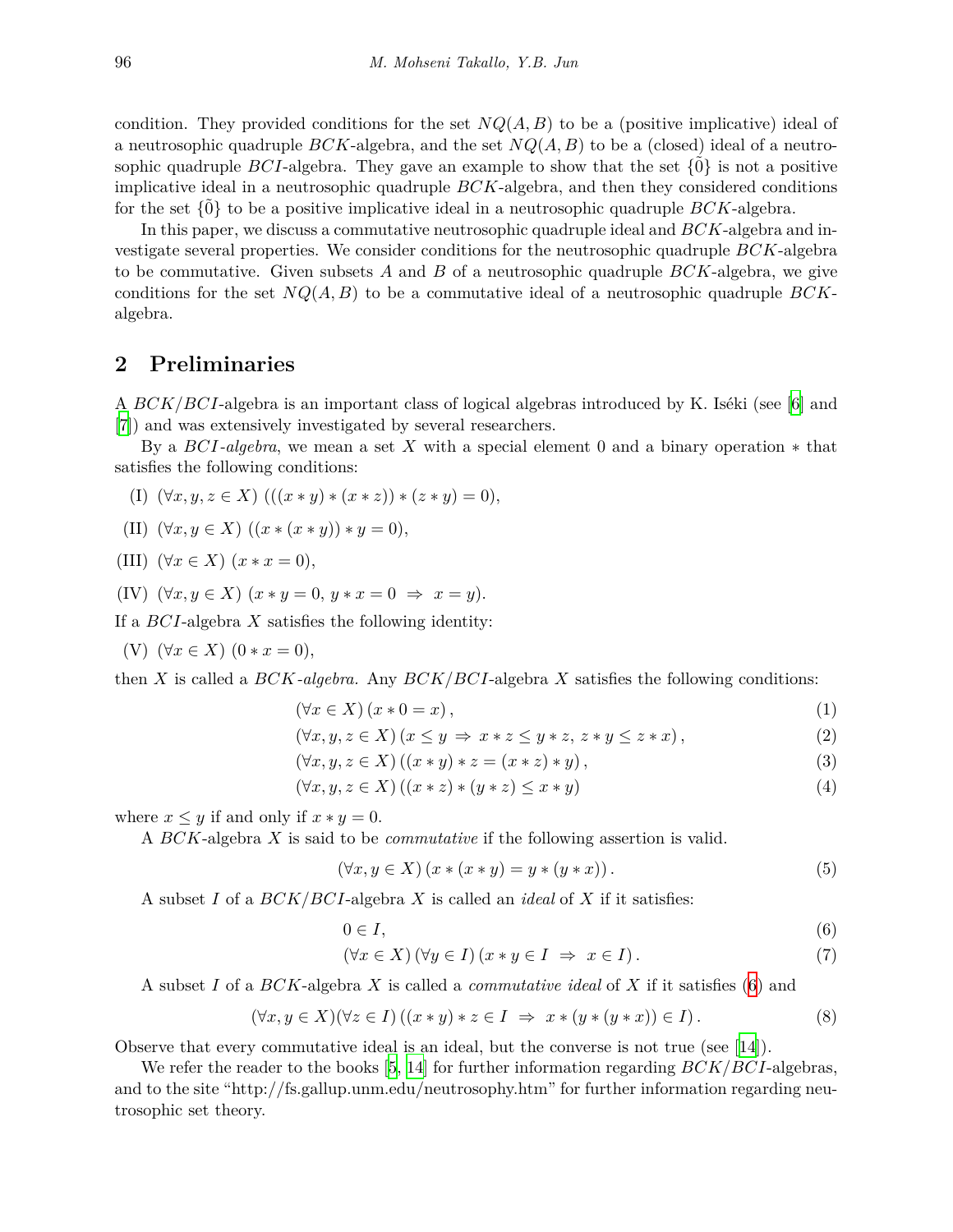condition. They provided conditions for the set  $NQ(A, B)$  to be a (positive implicative) ideal of a neutrosophic quadruple *BCK*-algebra, and the set  $NQ(A, B)$  to be a (closed) ideal of a neutrosophic quadruple *BCI*-algebra. They gave an example to show that the set  $\{0\}$  is not a positive implicative ideal in a neutrosophic quadruple *BCK*-algebra, and then they considered conditions for the set *{*˜0*}* to be a positive implicative ideal in a neutrosophic quadruple *BCK*-algebra.

In this paper, we discuss a commutative neutrosophic quadruple ideal and *BCK*-algebra and investigate several properties. We consider conditions for the neutrosophic quadruple *BCK*-algebra to be commutative. Given subsets *A* and *B* of a neutrosophic quadruple *BCK*-algebra, we give conditions for the set *NQ*(*A, B*) to be a commutative ideal of a neutrosophic quadruple *BCK*algebra.

#### **2 Preliminaries**

A *BCK/BCI*-algebra is an important class of logical algebras introduced by K. Iséki (see [[6](#page-9-6)] and [[7](#page-9-7)]) and was extensively investigated by several researchers.

By a *BCI-algebra*, we mean a set *X* with a special element 0 and a binary operation *∗* that satisfies the following conditions:

- (I)  $(\forall x, y, z \in X)$   $(((x * y) * (x * z)) * (z * y) = 0),$
- (II)  $(\forall x, y \in X) ((x * (x * y)) * y = 0),$
- (III)  $(\forall x \in X)$   $(x * x = 0)$ ,
- $(K)$   $(\forall x, y \in X)$   $(x * y = 0, y * x = 0 \Rightarrow x = y)$ .

If a *BCI*-algebra *X* satisfies the following identity:

(V)  $(\forall x \in X)$   $(0 * x = 0)$ ,

then *X* is called a *BCK-algebra.* Any *BCK/BCI*-algebra *X* satisfies the following conditions:

$$
(\forall x \in X) (x * 0 = x), \tag{1}
$$

$$
(\forall x, y, z \in X) (x \le y \Rightarrow x * z \le y * z, z * y \le z * x), \tag{2}
$$

$$
(\forall x, y, z \in X) ((x * y) * z = (x * z) * y), \qquad (3)
$$

$$
(\forall x, y, z \in X) ((x * z) * (y * z) \le x * y)
$$
\n
$$
(4)
$$

where  $x \leq y$  if and only if  $x * y = 0$ .

A *BCK*-algebra *X* is said to be *commutative* if the following assertion is valid.

$$
(\forall x, y \in X) (x * (x * y) = y * (y * x)). \tag{5}
$$

A subset *I* of a *BCK/BCI*-algebra *X* is called an *ideal* of *X* if it satisfies:

<span id="page-1-0"></span>
$$
0 \in I,\tag{6}
$$

$$
(\forall x \in X) (\forall y \in I) (x * y \in I \Rightarrow x \in I).
$$
\n<sup>(7)</sup>

A subset *I* of a *BCK*-algebra *X* is called a *commutative ideal* of *X* if it satisfies ([6](#page-1-0)) and

$$
(\forall x, y \in X)(\forall z \in I) ((x * y) * z \in I \Rightarrow x * (y * (y * x)) \in I).
$$
\n
$$
(8)
$$

Observe that every commutative ideal is an ideal, but the converse is not true (see[[14\]](#page-10-9)).

We refer the reader to the books [[5](#page-9-8), [14](#page-10-9)] for further information regarding *BCK/BCI*-algebras, and to the site "http://fs.gallup.unm.edu/neutrosophy.htm" for further information regarding neutrosophic set theory.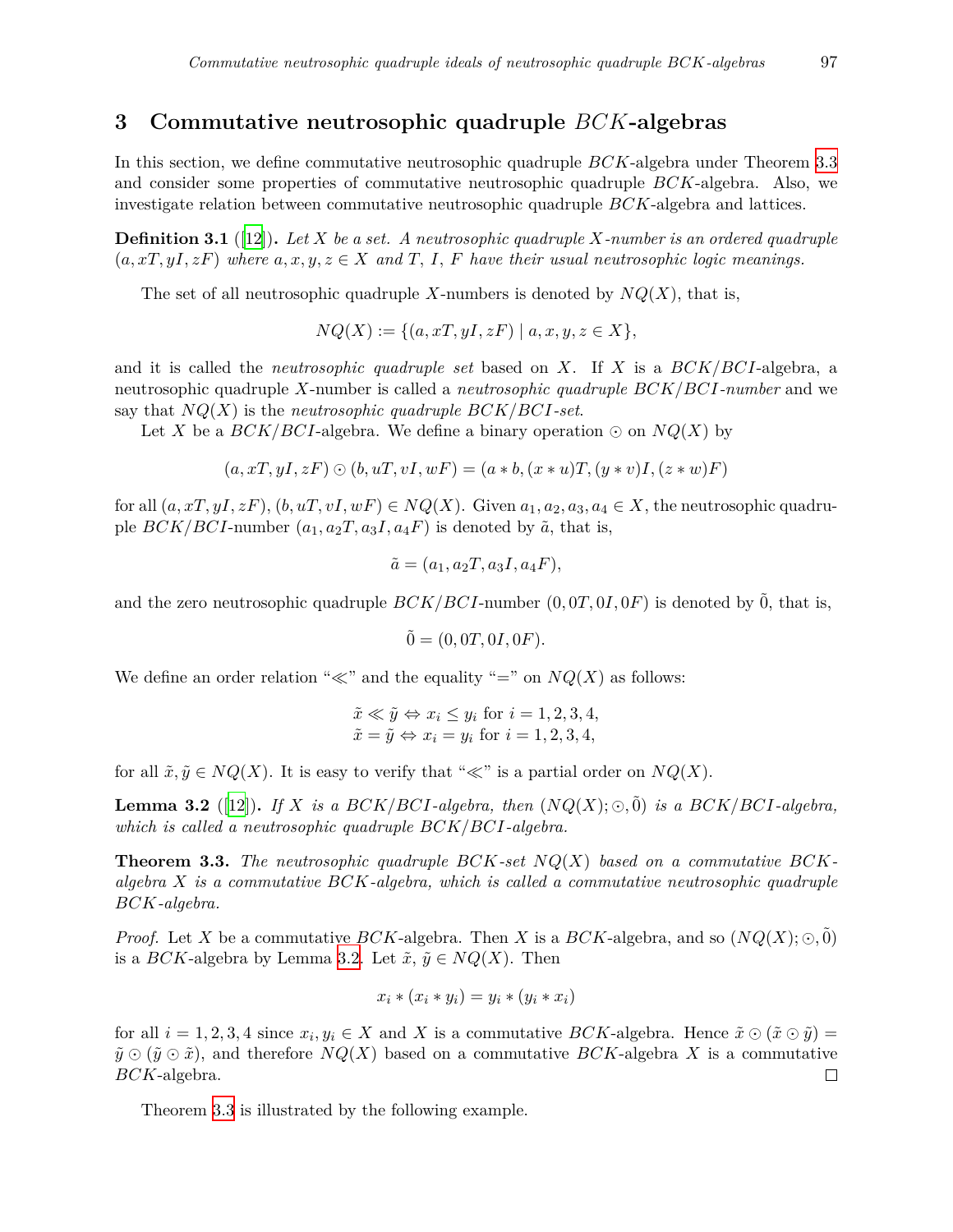### **3 Commutative neutrosophic quadruple** *BCK***-algebras**

In this section, we define commutative neutrosophic quadruple *BCK*-algebra under Theorem [3.3](#page-2-0) and consider some properties of commutative neutrosophic quadruple *BCK*-algebra. Also, we investigate relation between commutative neutrosophic quadruple *BCK*-algebra and lattices.

**Definition 3.1** ([[12](#page-10-8)])**.** *Let X be a set. A neutrosophic quadruple X-number is an ordered quadruple*  $(a, x, y, zF)$  where  $a, x, y, z \in X$  and  $T, I, F$  have their usual neutrosophic logic meanings.

The set of all neutrosophic quadruple *X*-numbers is denoted by  $NQ(X)$ , that is,

 $NO(X) := \{(a, x), yI, zF\} \mid a, x, y, z \in X\},\$ 

and it is called the *neutrosophic quadruple set* based on *X*. If *X* is a *BCK/BCI*-algebra, a neutrosophic quadruple *X*-number is called a *neutrosophic quadruple BCK/BCI-number* and we say that  $NQ(X)$  is the *neutrosophic quadruple*  $BCK/BCI-set$ .

Let *X* be a *BCK/BCI*-algebra. We define a binary operation  $\odot$  on  $NQ(X)$  by

$$
(a, xT, yI, zF) \odot (b, uT, vI, wF) = (a * b, (x * u)T, (y * v)I, (z * w)F)
$$

for all  $(a, xT, yI, zF)$ ,  $(b, uT, vI, wF) \in NQ(X)$ . Given  $a_1, a_2, a_3, a_4 \in X$ , the neutrosophic quadruple *BCK/BCI*-number  $(a_1, a_2T, a_3I, a_4F)$  is denoted by  $\tilde{a}$ , that is,

$$
\tilde{a} = (a_1, a_2T, a_3I, a_4F),
$$

and the zero neutrosophic quadruple *BCK/BCI*-number  $(0, 0T, 0I, 0F)$  is denoted by  $\tilde{0}$ , that is,

 $\tilde{0} = (0, 0T, 0I, 0F).$ 

We define an order relation " $\ll$ " and the equality "=" on  $NQ(X)$  as follows:

$$
\tilde{x} \ll \tilde{y} \Leftrightarrow x_i \le y_i \text{ for } i = 1, 2, 3, 4,
$$
  

$$
\tilde{x} = \tilde{y} \Leftrightarrow x_i = y_i \text{ for } i = 1, 2, 3, 4,
$$

for all  $\tilde{x}, \tilde{y} \in NQ(X)$ . It is easy to verify that " $\ll$ " is a partial order on  $NQ(X)$ .

<span id="page-2-1"></span>**Lemma 3.2** ([[12\]](#page-10-8)). If X is a BCK/BCI-algebra, then  $(NQ(X); \odot, \widetilde{0})$  is a BCK/BCI-algebra, *which is called a neutrosophic quadruple BCK/BCI-algebra.*

<span id="page-2-0"></span>**Theorem 3.3.** *The neutrosophic quadruple BCK-set NQ*(*X*) *based on a commutative BCKalgebra X is a commutative BCK-algebra, which is called a commutative neutrosophic quadruple BCK-algebra.*

*Proof.* Let *X* be a commutative *BCK*-algebra. Then *X* is a *BCK*-algebra, and so  $(NQ(X); \odot, 0)$ is a *BCK*-algebra by Lemma [3.2](#page-2-1). Let  $\tilde{x}, \tilde{y} \in NQ(X)$ . Then

$$
x_i * (x_i * y_i) = y_i * (y_i * x_i)
$$

for all  $i = 1, 2, 3, 4$  since  $x_i, y_i \in X$  and X is a commutative *BCK*-algebra. Hence  $\tilde{x} \odot (\tilde{x} \odot \tilde{y}) =$  $\tilde{y} \odot (\tilde{y} \odot \tilde{x})$ , and therefore  $NQ(X)$  based on a commutative *BCK*-algebra X is a commutative *BCK*-algebra.  $\Box$ 

Theorem [3.3](#page-2-0) is illustrated by the following example.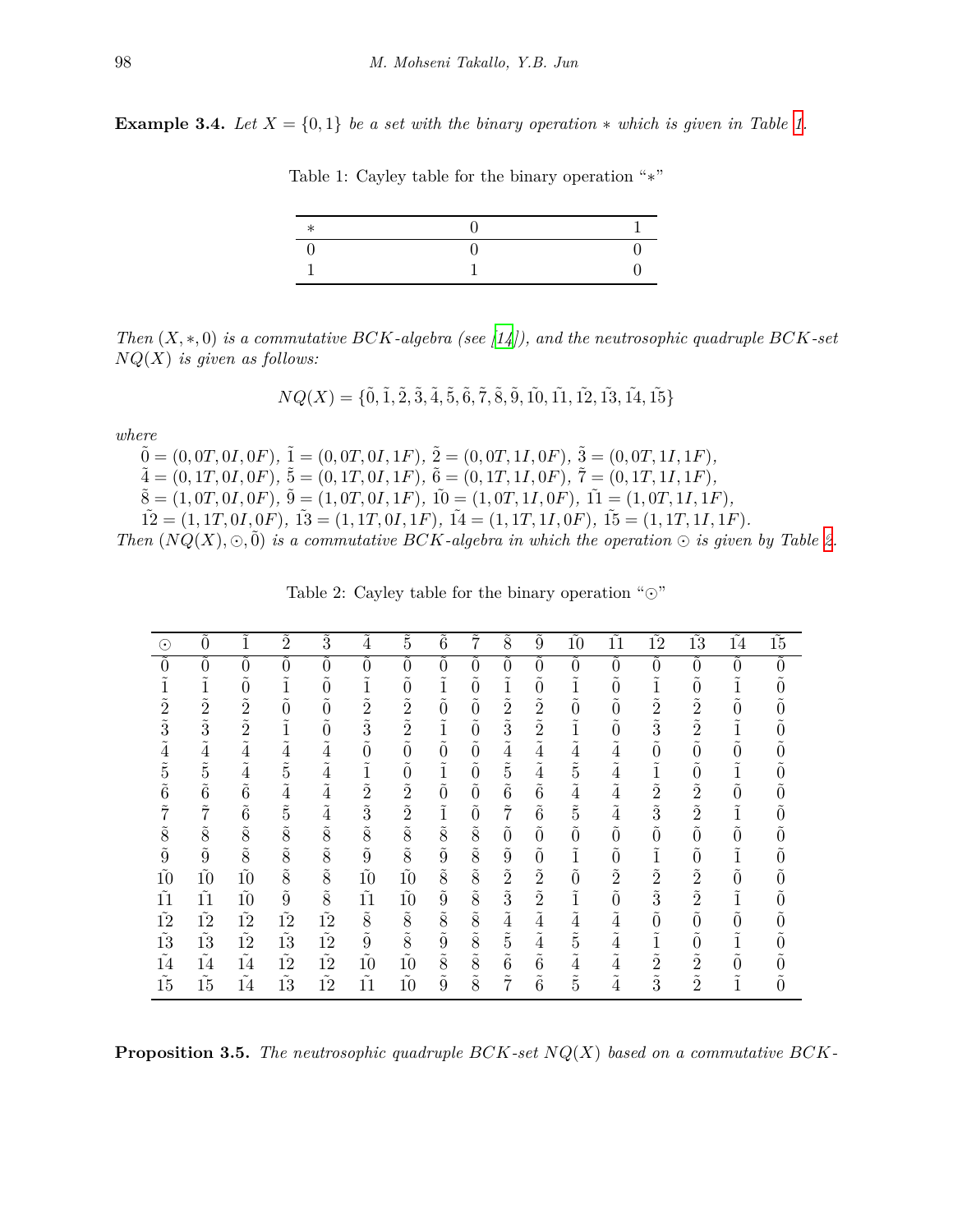<span id="page-3-0"></span>**Example 3.4.** *Let*  $X = \{0, 1\}$  *be a set with the binary operation*  $*$  *which is given in Table [1.](#page-3-0)* 

Table 1: Cayley table for the binary operation "*∗*"

*Then* (*X, ∗,* 0) *is a commutative BCK-algebra (see [\[14](#page-10-9)]), and the neutrosophic quadruple BCK-set NQ*(*X*) *is given as follows:*

$$
NQ(X) = \{\tilde{0}, \tilde{1}, \tilde{2}, \tilde{3}, \tilde{4}, \tilde{5}, \tilde{6}, \tilde{7}, \tilde{8}, \tilde{9}, \tilde{10}, \tilde{11}, \tilde{12}, \tilde{13}, \tilde{14}, \tilde{15}\}
$$

*where*

- $\tilde{0} = (0, 0T, 0I, 0F), \tilde{1} = (0, 0T, 0I, 1F), \tilde{2} = (0, 0T, 1I, 0F), \tilde{3} = (0, 0T, 1I, 1F),$
- $\tilde{A} = (0, 1T, 0I, 0F), \, \tilde{5} = (0, 1T, 0I, 1F), \, \tilde{6} = (0, 1T, 1I, 0F), \, \tilde{7} = (0, 1T, 1I, 1F),$
- $\tilde{8} = (1,0T,0I,0F), \tilde{9} = (1,0T,0I,1F), \tilde{10} = (1,0T,1I,0F), \tilde{11} = (1,0T,1I,1F),$
- $\tilde{12} = (1, 1T, 0I, 0F), \tilde{13} = (1, 1T, 0I, 1F), \tilde{14} = (1, 1T, 1I, 0F), \tilde{15} = (1, 1T, 1I, 1F).$

<span id="page-3-1"></span>*Then*  $(NQ(X), \odot, \widetilde{0})$  *is a commutative BCK-algebra in which the operation*  $\odot$  *is given by Table [2.](#page-3-1)* 

| $(\bm{\cdot})$ | l<br>$\tilde{0}$ | $\overline{1}$                       | $\tilde{2}$  | $\tilde{3}$                          | $\tilde{4}$                          | $\tilde{5}$    | $\tilde{6}$ | $\tilde{7}$                              | $\tilde{8}$    | $\tilde{9}$ | 10          | $\overline{11}$                         | $\tilde{12}$ | 13          | $\tilde{\phantom{a}}$<br>14                 | $\tilde{15}$ |
|----------------|------------------|--------------------------------------|--------------|--------------------------------------|--------------------------------------|----------------|-------------|------------------------------------------|----------------|-------------|-------------|-----------------------------------------|--------------|-------------|---------------------------------------------|--------------|
| $\overline{0}$ | $\tilde{0}$      | $\overline{0}$                       | $\tilde{0}$  | $\overline{0}$                       | $\overline{0}$                       | $\overline{0}$ | $\tilde{0}$ | $\overline{0}$                           | $\overline{0}$ | $\tilde{0}$ | $\tilde{0}$ | $\overline{0}$                          | $\tilde{0}$  | $\tilde{0}$ | $\overline{0}$                              | $\tilde{0}$  |
|                | $\tilde{1}$      | $\tilde{0}$                          | $\tilde{1}$  | $\tilde{0}$                          | $\tilde{1}$                          | $\tilde{0}$    | $\tilde{1}$ | $\tilde{0}$                              | $\tilde{1}$    | $\tilde{0}$ | $\tilde{1}$ | $\tilde{0}$                             | $\tilde{1}$  | $\tilde{0}$ | $\tilde{1}$                                 | $\tilde{0}$  |
| $\tilde{2}$    | $\tilde{2}$      | $\tilde{\phantom{a}}$<br>$\tilde{2}$ | $\tilde{0}$  | $\tilde{\phantom{a}}$<br>$\tilde{0}$ | $\tilde{\phantom{a}}$<br>$\tilde{2}$ | $\tilde{2}$    | $\tilde{0}$ | $\widetilde{\phantom{m}}$<br>$\tilde{0}$ | $\tilde{2}$    | $\tilde{2}$ | $\tilde{0}$ | $\tilde{\phantom{a}}$<br>$\overline{0}$ | $\tilde{2}$  | $\tilde{2}$ | $\tilde{\phantom{a}}$<br>$\overline{0}$     | $\tilde{0}$  |
| $\tilde{3}$    | $\tilde{3}$      | $\tilde{2}$                          | $\tilde{1}$  | $\tilde{\phantom{a}}$<br>$\tilde{0}$ | $\tilde{3}$                          | $\tilde{2}$    | $\tilde{1}$ | $\widetilde{\phantom{m}}$<br>$\tilde{0}$ | $\tilde{3}$    | $\tilde{2}$ | $\tilde{1}$ | $\tilde{\phantom{a}}$<br>$\tilde{0}$    | $\tilde{3}$  | $\tilde{2}$ | $\tilde{1}$                                 | $\tilde{0}$  |
| $\tilde{4}$    | $\tilde{4}$      | $\tilde{4}$                          | $\tilde{4}$  | $\tilde{4}$                          | $\tilde{0}$                          | $\tilde{0}$    | $\tilde{0}$ | $\tilde{0}$                              | $\tilde{4}$    | $\tilde{4}$ | $\tilde{4}$ | $\tilde{4}$                             | $\tilde{0}$  | $\tilde{0}$ | $\tilde{0}$                                 | $\tilde{0}$  |
| $\tilde{5}$    | $\tilde{5}$      | $\tilde{4}$                          | $\tilde{5}$  | $\tilde{4}$                          | $\tilde{1}$                          | $\tilde{0}$    | $\tilde{1}$ | $\tilde{0}$                              | $\tilde{5}$    | $\tilde{4}$ | $\tilde{5}$ | $\tilde{4}$                             | $\tilde{1}$  | $\tilde{0}$ | $\tilde{1}$                                 |              |
| $\tilde{6}$    | $\tilde{6}$      | $\tilde{6}$                          | $\tilde{4}$  | $\tilde{4}$                          | $\tilde{2}$                          | $\tilde{2}$    | $\tilde{0}$ | $\tilde{0}$                              | $\tilde{6}$    | $\tilde{6}$ | $\tilde{4}$ | $\tilde{4}$                             | $\tilde{2}$  | $\tilde{2}$ | $\tilde{0}$                                 | $\tilde{0}$  |
| $\tilde{7}$    | $\tilde{7}$      | $\tilde{6}$                          | $\tilde{5}$  | $\tilde{4}$                          | $\tilde{3}$                          | $\tilde{2}$    | $\tilde{1}$ | $\tilde{0}$                              | $\tilde{7}$    | $\tilde{6}$ | $\tilde{5}$ | $\tilde{4}$                             | $\tilde{3}$  | $\tilde{2}$ | $\tilde{1}$                                 | $\tilde{0}$  |
| $\tilde{8}$    | $\tilde{8}$      | $\tilde{8}$                          | $\tilde{8}$  | $\tilde{8}$                          | $\tilde{8}$                          | $\tilde{8}$    | $\tilde{8}$ | $\tilde{8}$                              | $\tilde{0}$    | $\tilde{0}$ | $\tilde{0}$ | $\tilde{0}$                             | $\tilde{0}$  | $\tilde{0}$ | $\widetilde{\phantom{m}}$<br>$\overline{0}$ | $\tilde{0}$  |
| $\tilde{9}$    | $\tilde{9}$      | $\tilde{8}$                          | $\tilde{8}$  | $\tilde{8}$                          | $\tilde{9}$                          | $\tilde{8}$    | $\tilde{9}$ | $\tilde{8}$                              | $\tilde{9}$    | $\tilde{0}$ | $\tilde{1}$ | $\tilde{0}$                             | ĩ            | $\tilde{0}$ | $\tilde{1}$                                 | $\tilde{0}$  |
| $\tilde{10}$   | $\tilde{10}$     | $\tilde{10}$                         | $\tilde{8}$  | $\tilde{8}$                          | $\tilde{10}$                         | $\tilde{10}$   | $\tilde{8}$ | $\tilde{8}$                              | $\tilde{2}$    | $\tilde{2}$ | $\tilde{0}$ | $\tilde{2}$                             | $\tilde{2}$  | $\tilde{2}$ | $\tilde{\phantom{a}}$<br>$\tilde{0}$        | $\tilde{0}$  |
| $\tilde{11}$   | $\tilde{11}$     | $\tilde{10}$                         | $\tilde{9}$  | $\tilde{8}$                          | $\tilde{11}$                         | $\tilde{10}$   | $\tilde{9}$ | $\tilde{8}$                              | $\tilde{3}$    | $\tilde{2}$ | $\tilde{1}$ | $\tilde{0}$                             | $\tilde{3}$  | $\tilde{2}$ | $\tilde{1}$                                 |              |
| $\tilde{12}$   | $\tilde{12}$     | $\tilde{12}$                         | $\tilde{12}$ | $\tilde{12}$                         | $\tilde{8}$                          | $\tilde{8}$    | $\tilde{8}$ | $\tilde{8}$                              | $\tilde{4}$    | $\tilde{4}$ | $\tilde{4}$ | $\tilde{4}$                             | $\tilde{0}$  | $\tilde{0}$ | $\widetilde{\phantom{m}}$<br>$\overline{0}$ | $\tilde{0}$  |
| $\tilde{13}$   | $\tilde{13}$     | $\tilde{12}$                         | $\tilde{13}$ | $\tilde{12}$                         | $\tilde{9}$                          | $\tilde{8}$    | $\tilde{9}$ | $\tilde{8}$                              | $\tilde{5}$    | $\tilde{4}$ | $\tilde{5}$ | $\tilde{4}$                             | $\tilde{1}$  | $\tilde{0}$ | $\tilde{1}$                                 | $\tilde{0}$  |
| $\tilde{14}$   | $\tilde{14}$     | $\tilde{14}$                         | $\tilde{12}$ | $\tilde{12}$                         | $\tilde{10}$                         | $\tilde{10}$   | $\tilde{8}$ | $\tilde{8}$                              | $\tilde{6}$    | $\tilde{6}$ | $\tilde{4}$ | $\tilde{4}$                             | $\tilde{2}$  | $\tilde{2}$ | $\widetilde{\phantom{m}}$<br>$\tilde{0}$    | $\tilde{0}$  |
| $\tilde{15}$   | $\tilde{15}$     | $\tilde{14}$                         | $\tilde{13}$ | $\tilde{12}$                         | $\tilde{11}$                         | $\tilde{10}$   | $\tilde{9}$ | $\tilde{8}$                              | $\tilde{7}$    | $\tilde{6}$ | $\tilde{5}$ | $\tilde{4}$                             | $\tilde{3}$  | $\tilde{2}$ | ĩ                                           | $\tilde{0}$  |

Table 2: Cayley table for the binary operation "*⊙*"

**Proposition 3.5.** *The neutrosophic quadruple BCK-set NQ*(*X*) *based on a commutative BCK-*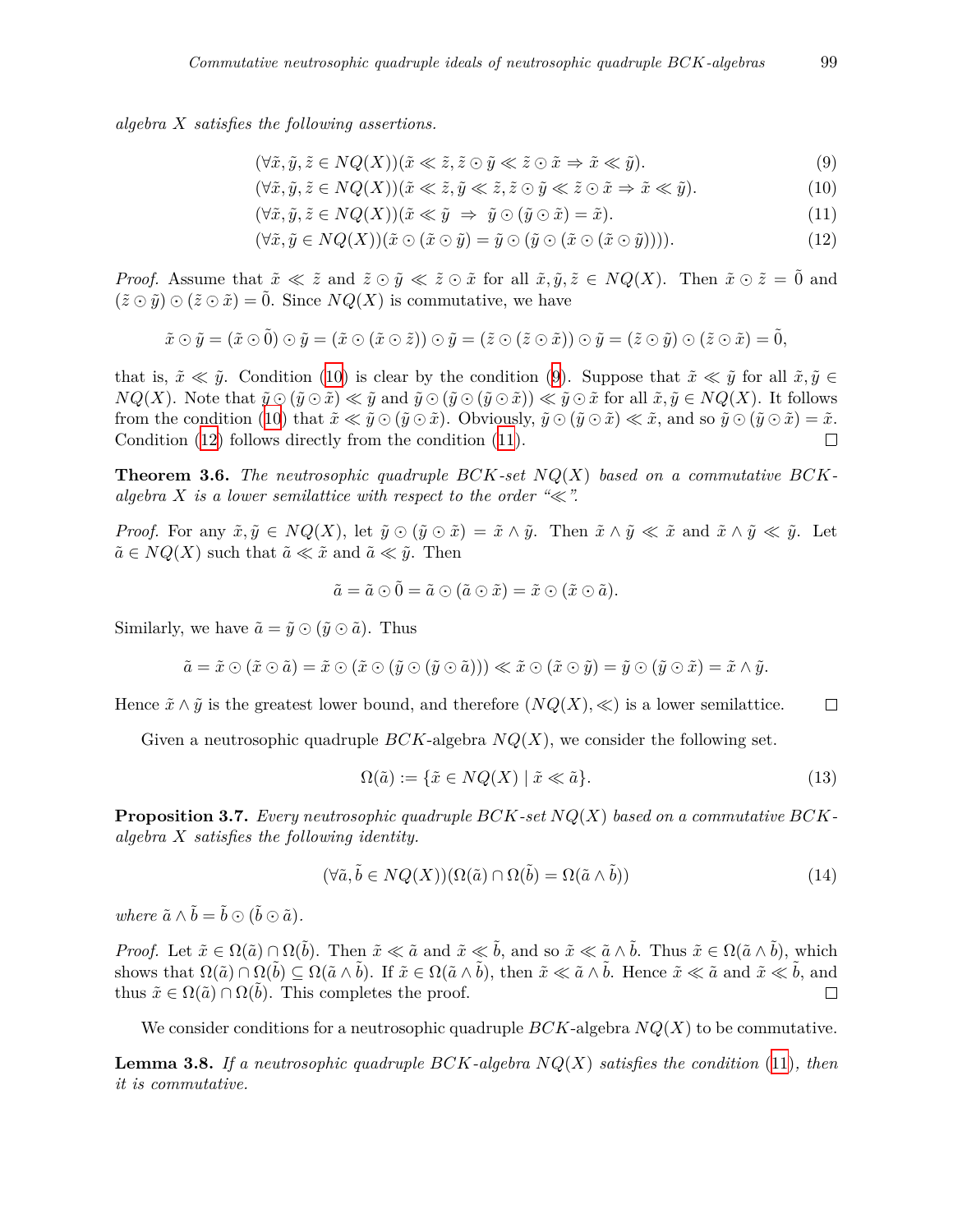*algebra X satisfies the following assertions.*

<span id="page-4-1"></span>
$$
(\forall \tilde{x}, \tilde{y}, \tilde{z} \in NQ(X))(\tilde{x} \ll \tilde{z}, \tilde{z} \odot \tilde{y} \ll \tilde{z} \odot \tilde{x} \Rightarrow \tilde{x} \ll \tilde{y}). \tag{9}
$$

<span id="page-4-3"></span><span id="page-4-2"></span><span id="page-4-0"></span>
$$
(\forall \tilde{x}, \tilde{y}, \tilde{z} \in NQ(X))(\tilde{x} \ll \tilde{z}, \tilde{y} \ll \tilde{z}, \tilde{z} \odot \tilde{y} \ll \tilde{z} \odot \tilde{x} \Rightarrow \tilde{x} \ll \tilde{y}).
$$
\n(10)

$$
(\forall \tilde{x}, \tilde{y}, \tilde{z} \in NQ(X))(\tilde{x} \ll \tilde{y} \implies \tilde{y} \odot (\tilde{y} \odot \tilde{x}) = \tilde{x}). \tag{11}
$$

$$
(\forall \tilde{x}, \tilde{y} \in NQ(X))(\tilde{x} \odot (\tilde{x} \odot \tilde{y}) = \tilde{y} \odot (\tilde{y} \odot (\tilde{x} \odot (\tilde{x} \odot \tilde{y}))))
$$
\n
$$
(12)
$$

*Proof.* Assume that  $\tilde{x} \ll \tilde{z}$  and  $\tilde{z} \odot \tilde{y} \ll \tilde{z} \odot \tilde{x}$  for all  $\tilde{x}, \tilde{y}, \tilde{z} \in NQ(X)$ . Then  $\tilde{x} \odot \tilde{z} = \tilde{0}$  and  $(\tilde{z} \odot \tilde{y}) \odot (\tilde{z} \odot \tilde{x}) = 0$ . Since  $NQ(X)$  is commutative, we have

$$
\tilde{x} \odot \tilde{y} = (\tilde{x} \odot \tilde{0}) \odot \tilde{y} = (\tilde{x} \odot (\tilde{x} \odot \tilde{z})) \odot \tilde{y} = (\tilde{z} \odot (\tilde{z} \odot \tilde{x})) \odot \tilde{y} = (\tilde{z} \odot \tilde{y}) \odot (\tilde{z} \odot \tilde{x}) = \tilde{0},
$$

that is,  $\tilde{x} \ll \tilde{y}$ . Condition [\(10](#page-4-0)) is clear by the condition ([9](#page-4-1)). Suppose that  $\tilde{x} \ll \tilde{y}$  for all  $\tilde{x}, \tilde{y} \in$  $NQ(X)$ . Note that  $\tilde{y} \odot (\tilde{y} \odot \tilde{x}) \ll \tilde{y}$  and  $\tilde{y} \odot (\tilde{y} \odot (\tilde{y} \odot \tilde{x})) \ll \tilde{y} \odot \tilde{x}$  for all  $\tilde{x}, \tilde{y} \in NQ(X)$ . It follows from the condition ([10\)](#page-4-0) that  $\tilde{x} \ll \tilde{y} \odot (\tilde{y} \odot \tilde{x})$ . Obviously,  $\tilde{y} \odot (\tilde{y} \odot \tilde{x}) \ll \tilde{x}$ , and so  $\tilde{y} \odot (\tilde{y} \odot \tilde{x}) = \tilde{x}$ . Condition ([12\)](#page-4-2) follows directly from the condition ([11\)](#page-4-3).  $\Box$ 

**Theorem 3.6.** *The neutrosophic quadruple BCK-set NQ*(*X*) *based on a commutative BCKalgebra*  $X$  *is a lower semilattice with respect to the order "* $\ll$ *".* 

*Proof.* For any  $\tilde{x}, \tilde{y} \in NQ(X)$ , let  $\tilde{y} \odot (\tilde{y} \odot \tilde{x}) = \tilde{x} \wedge \tilde{y}$ . Then  $\tilde{x} \wedge \tilde{y} \ll \tilde{x}$  and  $\tilde{x} \wedge \tilde{y} \ll \tilde{y}$ . Let  $\tilde{a} \in NQ(X)$  such that  $\tilde{a} \ll \tilde{x}$  and  $\tilde{a} \ll \tilde{y}$ . Then

$$
\tilde{a} = \tilde{a} \odot \tilde{0} = \tilde{a} \odot (\tilde{a} \odot \tilde{x}) = \tilde{x} \odot (\tilde{x} \odot \tilde{a}).
$$

Similarly, we have  $\tilde{a} = \tilde{y} \odot (\tilde{y} \odot \tilde{a})$ . Thus

$$
\tilde{a} = \tilde{x} \odot (\tilde{x} \odot \tilde{a}) = \tilde{x} \odot (\tilde{x} \odot (\tilde{y} \odot (\tilde{y} \odot \tilde{a}))) \ll \tilde{x} \odot (\tilde{x} \odot \tilde{y}) = \tilde{y} \odot (\tilde{y} \odot \tilde{x}) = \tilde{x} \wedge \tilde{y}.
$$

Hence  $\tilde{x} \wedge \tilde{y}$  is the greatest lower bound, and therefore  $(NQ(X), \ll)$  is a lower semilattice.  $\Box$ 

Given a neutrosophic quadruple  $BCK$ -algebra  $NQ(X)$ , we consider the following set.

<span id="page-4-5"></span>
$$
\Omega(\tilde{a}) := \{ \tilde{x} \in NQ(X) \mid \tilde{x} \ll \tilde{a} \}. \tag{13}
$$

**Proposition 3.7.** *Every neutrosophic quadruple BCK-set NQ*(*X*) *based on a commutative BCKalgebra X satisfies the following identity.*

$$
(\forall \tilde{a}, \tilde{b} \in NQ(X))(\Omega(\tilde{a}) \cap \Omega(\tilde{b}) = \Omega(\tilde{a} \wedge \tilde{b}))
$$
\n(14)

 $where \tilde{a} \wedge \tilde{b} = \tilde{b} \odot (\tilde{b} \odot \tilde{a}).$ 

*Proof.* Let  $\tilde{x} \in \Omega(\tilde{a}) \cap \Omega(\tilde{b})$ . Then  $\tilde{x} \ll \tilde{a}$  and  $\tilde{x} \ll \tilde{b}$ , and so  $\tilde{x} \ll \tilde{a} \wedge \tilde{b}$ . Thus  $\tilde{x} \in \Omega(\tilde{a} \wedge \tilde{b})$ , which shows that  $\Omega(\tilde{a}) \cap \Omega(\tilde{b}) \subseteq \Omega(\tilde{a} \wedge \tilde{b})$ . If  $\tilde{x} \in \Omega(\tilde{a} \wedge \tilde{b})$ , then  $\tilde{x} \ll \tilde{a} \wedge \tilde{b}$ . Hence  $\tilde{x} \ll \tilde{a}$  and  $\tilde{x} \ll \tilde{b}$ , and thus  $\tilde{x} \in \Omega(\tilde{a}) \cap \Omega(b)$ . This completes the proof.  $\Box$ 

We consider conditions for a neutrosophic quadruple *BCK*-algebra *NQ*(*X*) to be commutative.

<span id="page-4-4"></span>**Lemma 3.8.** *If a neutrosophic quadruple BCK-algebra NQ*(*X*) *satisfies the condition* ([11\)](#page-4-3)*, then it is commutative.*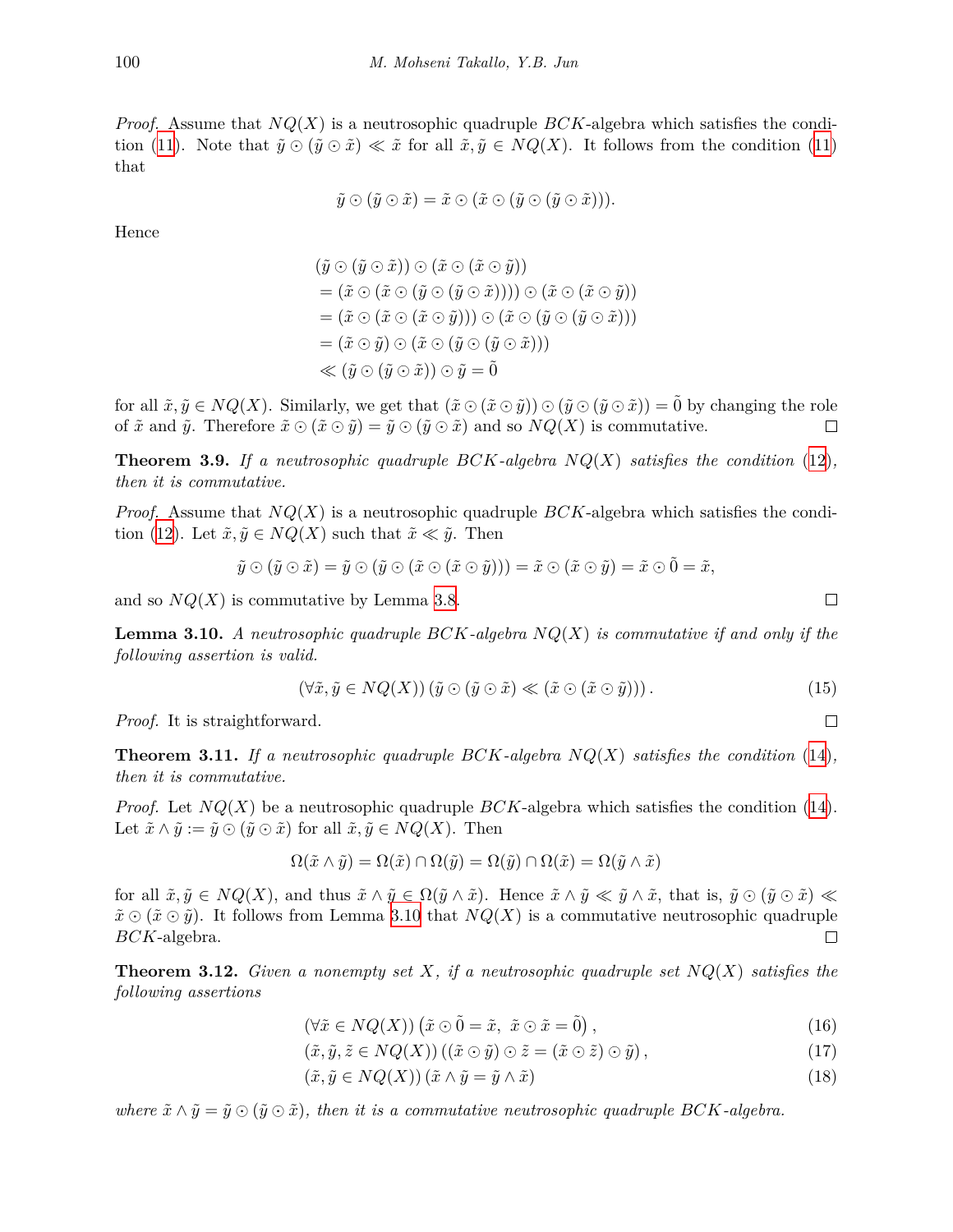*Proof.* Assume that *NQ*(*X*) is a neutrosophic quadruple *BCK*-algebra which satisfies the condi-tion [\(11\)](#page-4-3). Note that  $\tilde{y} \odot (\tilde{y} \odot \tilde{x}) \ll \tilde{x}$  for all  $\tilde{x}, \tilde{y} \in NQ(X)$ . It follows from the condition [\(11](#page-4-3)) that

$$
\tilde{y} \odot (\tilde{y} \odot \tilde{x}) = \tilde{x} \odot (\tilde{x} \odot (\tilde{y} \odot (\tilde{y} \odot \tilde{x}))).
$$

Hence

$$
(\tilde{y} \odot (\tilde{y} \odot \tilde{x})) \odot (\tilde{x} \odot (\tilde{x} \odot \tilde{y}))
$$
  
=  $(\tilde{x} \odot (\tilde{x} \odot (\tilde{y} \odot (\tilde{y} \odot \tilde{x})))) \odot (\tilde{x} \odot (\tilde{x} \odot \tilde{y}))$   
=  $(\tilde{x} \odot (\tilde{x} \odot (\tilde{x} \odot \tilde{y}))) \odot (\tilde{x} \odot (\tilde{y} \odot (\tilde{y} \odot \tilde{x})))$   
=  $(\tilde{x} \odot \tilde{y}) \odot (\tilde{x} \odot (\tilde{y} \odot (\tilde{y} \odot \tilde{x})))$   
 $\ll (\tilde{y} \odot (\tilde{y} \odot \tilde{x})) \odot \tilde{y} = \tilde{0}$ 

for all  $\tilde{x}, \tilde{y} \in NQ(X)$ . Similarly, we get that  $(\tilde{x} \odot (\tilde{x} \odot \tilde{y})) \odot (\tilde{y} \odot (\tilde{y} \odot \tilde{x})) = 0$  by changing the role of  $\tilde{x}$  and  $\tilde{y}$ . Therefore  $\tilde{x} \odot (\tilde{x} \odot \tilde{y}) = \tilde{y} \odot (\tilde{y} \odot \tilde{x})$  and so  $NQ(X)$  is commutative.  $\Box$ 

**Theorem 3.9.** *If a neutrosophic quadruple BCK-algebra NQ*(*X*) *satisfies the condition* ([12\)](#page-4-2)*, then it is commutative.*

*Proof.* Assume that *NQ*(*X*) is a neutrosophic quadruple *BCK*-algebra which satisfies the condi-tion [\(12](#page-4-2)). Let  $\tilde{x}, \tilde{y} \in NQ(X)$  such that  $\tilde{x} \ll \tilde{y}$ . Then

$$
\tilde{y} \odot (\tilde{y} \odot \tilde{x}) = \tilde{y} \odot (\tilde{y} \odot (\tilde{x} \odot (\tilde{x} \odot \tilde{y}))) = \tilde{x} \odot (\tilde{x} \odot \tilde{y}) = \tilde{x} \odot \tilde{0} = \tilde{x},
$$

and so  $NQ(X)$  is commutative by Lemma [3.8](#page-4-4).

<span id="page-5-0"></span>**Lemma 3.10.** *A neutrosophic quadruple BCK-algebra NQ*(*X*) *is commutative if and only if the following assertion is valid.*

$$
(\forall \tilde{x}, \tilde{y} \in NQ(X)) (\tilde{y} \odot (\tilde{y} \odot \tilde{x}) \ll (\tilde{x} \odot (\tilde{x} \odot \tilde{y}))).
$$
\n(15)

*Proof.* It is straightforward.

**Theorem 3.11.** If a neutrosophic quadruple  $BCK$ -algebra  $NQ(X)$  satisfies the condition ([14\)](#page-4-5), *then it is commutative.*

*Proof.* Let *NQ*(*X*) be a neutrosophic quadruple *BCK*-algebra which satisfies the condition [\(14](#page-4-5)). Let  $\tilde{x} \wedge \tilde{y} := \tilde{y} \odot (\tilde{y} \odot \tilde{x})$  for all  $\tilde{x}, \tilde{y} \in NQ(X)$ . Then

$$
\Omega(\tilde{x} \wedge \tilde{y}) = \Omega(\tilde{x}) \cap \Omega(\tilde{y}) = \Omega(\tilde{y}) \cap \Omega(\tilde{x}) = \Omega(\tilde{y} \wedge \tilde{x})
$$

for all  $\tilde{x}, \tilde{y} \in NQ(X)$ , and thus  $\tilde{x} \wedge \tilde{y} \in \Omega(\tilde{y} \wedge \tilde{x})$ . Hence  $\tilde{x} \wedge \tilde{y} \ll \tilde{y} \wedge \tilde{x}$ , that is,  $\tilde{y} \odot (\tilde{y} \odot \tilde{x}) \ll \tilde{y}$  $\tilde{x} \odot (\tilde{x} \odot \tilde{y})$ . It follows from Lemma [3.10](#page-5-0) that  $NQ(X)$  is a commutative neutrosophic quadruple *BCK*-algebra.  $\Box$ 

**Theorem 3.12.** *Given a nonempty set*  $X$ *, if a neutrosophic quadruple set*  $NQ(X)$  *satisfies the following assertions*

$$
(\forall \tilde{x} \in NQ(X)) (\tilde{x} \odot \tilde{0} = \tilde{x}, \ \tilde{x} \odot \tilde{x} = \tilde{0}), \tag{16}
$$

$$
(\tilde{x}, \tilde{y}, \tilde{z} \in NQ(X)) ((\tilde{x} \odot \tilde{y}) \odot \tilde{z} = (\tilde{x} \odot \tilde{z}) \odot \tilde{y}), \qquad (17)
$$

$$
(\tilde{x}, \tilde{y} \in NQ(X)) (\tilde{x} \wedge \tilde{y} = \tilde{y} \wedge \tilde{x})
$$
\n<sup>(18)</sup>

*where*  $\tilde{x} \wedge \tilde{y} = \tilde{y} \odot (\tilde{y} \odot \tilde{x})$ *, then it is a commutative neutrosophic quadruple BCK-algebra.* 

 $\Box$ 

<span id="page-5-3"></span><span id="page-5-2"></span><span id="page-5-1"></span> $\Box$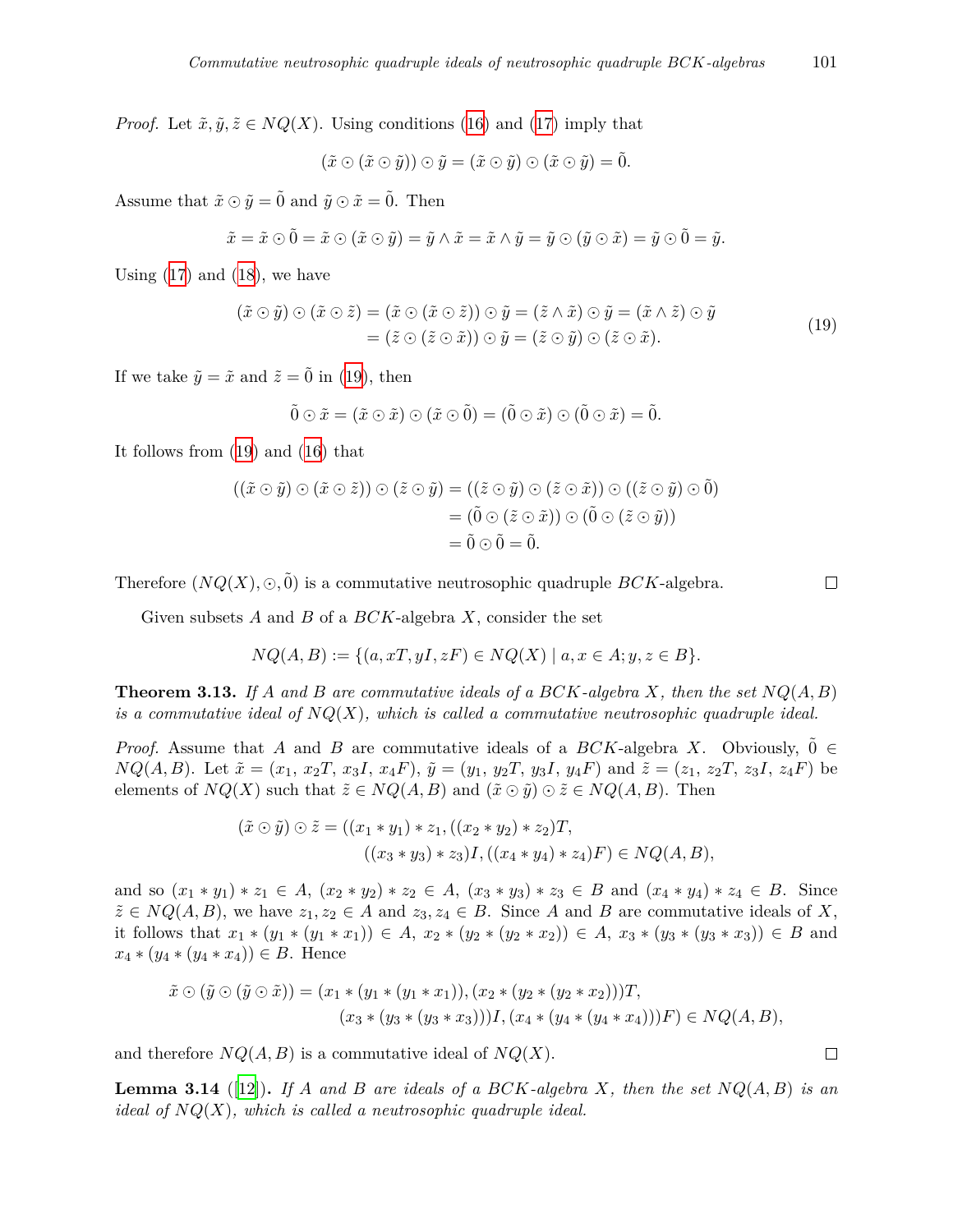*Proof.* Let  $\tilde{x}, \tilde{y}, \tilde{z} \in NQ(X)$ . Using conditions ([16\)](#page-5-1) and [\(17](#page-5-2)) imply that

<span id="page-6-0"></span>
$$
(\tilde{x} \odot (\tilde{x} \odot \tilde{y})) \odot \tilde{y} = (\tilde{x} \odot \tilde{y}) \odot (\tilde{x} \odot \tilde{y}) = \tilde{0}.
$$

Assume that  $\tilde{x} \odot \tilde{y} = \tilde{0}$  and  $\tilde{y} \odot \tilde{x} = \tilde{0}$ . Then

$$
\tilde{x} = \tilde{x} \odot \tilde{0} = \tilde{x} \odot (\tilde{x} \odot \tilde{y}) = \tilde{y} \wedge \tilde{x} = \tilde{x} \wedge \tilde{y} = \tilde{y} \odot (\tilde{y} \odot \tilde{x}) = \tilde{y} \odot \tilde{0} = \tilde{y}.
$$

Using  $(17)$  $(17)$  and  $(18)$  $(18)$ , we have

$$
(\tilde{x} \odot \tilde{y}) \odot (\tilde{x} \odot \tilde{z}) = (\tilde{x} \odot (\tilde{x} \odot \tilde{z})) \odot \tilde{y} = (\tilde{z} \wedge \tilde{x}) \odot \tilde{y} = (\tilde{x} \wedge \tilde{z}) \odot \tilde{y}
$$
  
=  $(\tilde{z} \odot (\tilde{z} \odot \tilde{x})) \odot \tilde{y} = (\tilde{z} \odot \tilde{y}) \odot (\tilde{z} \odot \tilde{x}).$  (19)

If we take  $\tilde{y} = \tilde{x}$  and  $\tilde{z} = \tilde{0}$  in ([19\)](#page-6-0), then

$$
\tilde{0} \odot \tilde{x} = (\tilde{x} \odot \tilde{x}) \odot (\tilde{x} \odot \tilde{0}) = (\tilde{0} \odot \tilde{x}) \odot (\tilde{0} \odot \tilde{x}) = \tilde{0}.
$$

It follows from [\(19](#page-6-0)) and ([16\)](#page-5-1) that

$$
((\tilde{x} \odot \tilde{y}) \odot (\tilde{x} \odot \tilde{z})) \odot (\tilde{z} \odot \tilde{y}) = ((\tilde{z} \odot \tilde{y}) \odot (\tilde{z} \odot \tilde{x})) \odot ((\tilde{z} \odot \tilde{y}) \odot \tilde{0})
$$
  
=  $(\tilde{0} \odot (\tilde{z} \odot \tilde{x})) \odot (\tilde{0} \odot (\tilde{z} \odot \tilde{y}))$   
=  $\tilde{0} \odot \tilde{0} = \tilde{0}.$ 

Therefore  $(NQ(X), \odot, 0)$  is a commutative neutrosophic quadruple *BCK*-algebra.

 $\Box$ 

Given subsets *A* and *B* of a *BCK*-algebra *X*, consider the set

$$
NQ(A, B) := \{ (a, xT, yI, zF) \in NQ(X) \mid a, x \in A; y, z \in B \}.
$$

<span id="page-6-2"></span>**Theorem 3.13.** If *A* and *B* are commutative ideals of a BCK-algebra *X*, then the set  $NQ(A, B)$ *is a commutative ideal of NQ*(*X*)*, which is called a commutative neutrosophic quadruple ideal.*

*Proof.* Assume that *A* and *B* are commutative ideals of a *BCK*-algebra *X*. Obviously,  $0 \in$  $NQ(A, B)$ . Let  $\tilde{x} = (x_1, x_2T, x_3I, x_4F), \tilde{y} = (y_1, y_2T, y_3I, y_4F)$  and  $\tilde{z} = (z_1, z_2T, z_3I, z_4F)$  be elements of  $NQ(X)$  such that  $\tilde{z} \in NQ(A, B)$  and  $(\tilde{x} \odot \tilde{y}) \odot \tilde{z} \in NQ(A, B)$ . Then

$$
(\tilde{x} \odot \tilde{y}) \odot \tilde{z} = ((x_1 * y_1) * z_1, ((x_2 * y_2) * z_2)T, ((x_3 * y_3) * z_3)I, ((x_4 * y_4) * z_4)F) \in NQ(A, B),
$$

and so  $(x_1 * y_1) * z_1 \in A$ ,  $(x_2 * y_2) * z_2 \in A$ ,  $(x_3 * y_3) * z_3 \in B$  and  $(x_4 * y_4) * z_4 \in B$ . Since  $\tilde{z} \in NQ(A, B)$ , we have  $z_1, z_2 \in A$  and  $z_3, z_4 \in B$ . Since *A* and *B* are commutative ideals of *X*, it follows that  $x_1 * (y_1 * (y_1 * x_1)) \in A$ ,  $x_2 * (y_2 * (y_2 * x_2)) \in A$ ,  $x_3 * (y_3 * (y_3 * x_3)) \in B$  and  $x_4 * (y_4 * (y_4 * x_4)) \in B$ . Hence

$$
\tilde{x} \odot (\tilde{y} \odot (\tilde{y} \odot \tilde{x})) = (x_1 * (y_1 * (y_1 * x_1)), (x_2 * (y_2 * (y_2 * x_2)))T, (x_3 * (y_3 * (y_3 * x_3)))I, (x_4 * (y_4 * (y_4 * x_4)))F) \in NQ(A, B),
$$

and therefore  $NQ(A, B)$  is a commutative ideal of  $NQ(X)$ .

<span id="page-6-1"></span>**Lemma 3.14** ([\[12](#page-10-8)]). If A and B are ideals of a BCK-algebra X, then the set  $NQ(A, B)$  is an *ideal of NQ*(*X*)*, which is called a neutrosophic quadruple ideal.*

 $\Box$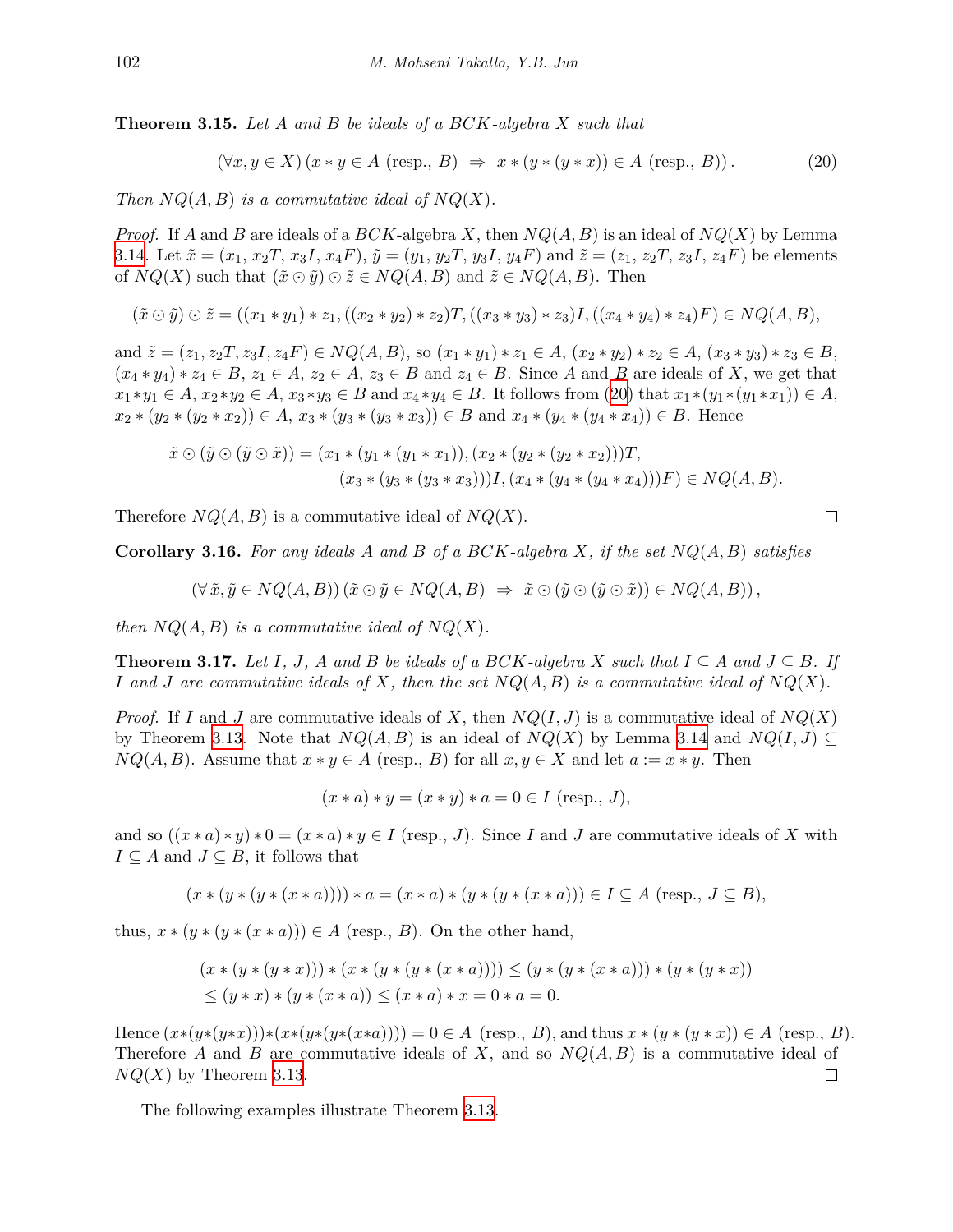**Theorem 3.15.** *Let A and B be ideals of a BCK-algebra X such that*

$$
(\forall x, y \in X) (x * y \in A \text{ (resp., } B) \Rightarrow x * (y * (y * x)) \in A \text{ (resp., } B)).
$$
\n(20)

*Then*  $NQ(A, B)$  *is a commutative ideal of*  $NQ(X)$ *.* 

*Proof.* If *A* and *B* are ideals of a *BCK*-algebra *X*, then  $NQ(A, B)$  is an ideal of  $NQ(X)$  by Lemma [3.14](#page-6-1). Let  $\tilde{x} = (x_1, x_2, x_3, x_4, F), \tilde{y} = (y_1, y_2, y_3, y_4, F)$  and  $\tilde{z} = (z_1, z_2, z_3, z_4, F)$  be elements of  $NQ(X)$  such that  $(\tilde{x} \odot \tilde{y}) \odot \tilde{z} \in NQ(A, B)$  and  $\tilde{z} \in NQ(A, B)$ . Then

$$
(\tilde{x} \odot \tilde{y}) \odot \tilde{z} = ((x_1 * y_1) * z_1, ((x_2 * y_2) * z_2)T, ((x_3 * y_3) * z_3)I, ((x_4 * y_4) * z_4)F) \in NQ(A, B),
$$

and  $\tilde{z} = (z_1, z_2T, z_3I, z_4F) \in NQ(A, B)$ , so  $(x_1 * y_1) * z_1 \in A$ ,  $(x_2 * y_2) * z_2 \in A$ ,  $(x_3 * y_3) * z_3 \in B$ ,  $(x_4 * y_4) * z_4 \in B$ ,  $z_1 \in A$ ,  $z_2 \in A$ ,  $z_3 \in B$  and  $z_4 \in B$ . Since A and B are ideals of X, we get that  $x_1 * y_1 \in A$ ,  $x_2 * y_2 \in A$ ,  $x_3 * y_3 \in B$  and  $x_4 * y_4 \in B$ . It follows from [\(20](#page-7-0)) that  $x_1 * (y_1 * (y_1 * x_1)) \in A$ ,  $x_2 * (y_2 * (y_2 * x_2)) \in A$ ,  $x_3 * (y_3 * (y_3 * x_3)) \in B$  and  $x_4 * (y_4 * (y_4 * x_4)) \in B$ . Hence

$$
\tilde{x} \odot (\tilde{y} \odot (\tilde{y} \odot \tilde{x})) = (x_1 * (y_1 * (y_1 * x_1)), (x_2 * (y_2 * (y_2 * x_2)))T,(x_3 * (y_3 * (y_3 * x_3)))I, (x_4 * (y_4 * (y_4 * x_4)))F) \in NQ(A, B).
$$

Therefore *NQ*(*A, B*) is a commutative ideal of *NQ*(*X*).

**Corollary 3.16.** *For any ideals A and B of a BCK-algebra X, if the set NQ*(*A, B*) *satisfies*

$$
(\forall \tilde{x}, \tilde{y} \in NQ(A, B)) (\tilde{x} \odot \tilde{y} \in NQ(A, B) \Rightarrow \tilde{x} \odot (\tilde{y} \odot (\tilde{y} \odot \tilde{x})) \in NQ(A, B)),
$$

*then*  $NQ(A, B)$  *is a commutative ideal of*  $NQ(X)$ *.* 

**Theorem 3.17.** Let I, J, A and B be ideals of a BCK-algebra X such that  $I \subseteq A$  and  $J \subseteq B$ . If *I* and *J* are commutative ideals of *X,* then the set  $NQ(A, B)$  is a commutative ideal of  $NQ(X)$ *.* 

*Proof.* If *I* and *J* are commutative ideals of *X*, then  $NQ(I, J)$  is a commutative ideal of  $NQ(X)$ by Theorem [3.13.](#page-6-2) Note that  $NQ(A, B)$  is an ideal of  $NQ(X)$  by Lemma [3.14](#page-6-1) and  $NQ(I, J) \subseteq$  $NQ(A, B)$ . Assume that  $x * y \in A$  (resp., *B*) for all  $x, y \in X$  and let  $a := x * y$ . Then

$$
(x * a) * y = (x * y) * a = 0 \in I
$$
 (resp., J),

and so  $((x * a) * y) * 0 = (x * a) * y \in I$  (resp., *J*). Since *I* and *J* are commutative ideals of *X* with  $I \subseteq A$  and  $J \subseteq B$ , it follows that

$$
(x * (y * (y * (x * a)))) * a = (x * a) * (y * (y * (x * a))) \in I \subseteq A \text{ (resp., } J \subseteq B),
$$

thus,  $x * (y * (x * a))) \in A$  (resp., *B*). On the other hand,

$$
(x * (y * (y * x))) * (x * (y * (x * a)))) \le (y * (y * (x * a))) * (y * (y * x))
$$
  
\n
$$
\le (y * x) * (y * (x * a)) \le (x * a) * x = 0 * a = 0.
$$

Hence  $(x*(y*(y*x)))*(x*(y*(y*(x*a))))=0 \in A$  (resp., B), and thus  $x*(y*(y*x)) \in A$  (resp., B). Therefore *A* and *B* are commutative ideals of *X*, and so *NQ*(*A, B*) is a commutative ideal of  $NQ(X)$  by Theorem [3.13.](#page-6-2)  $\Box$ 

The following examples illustrate Theorem [3.13.](#page-6-2)

<span id="page-7-0"></span>
$$
\Box
$$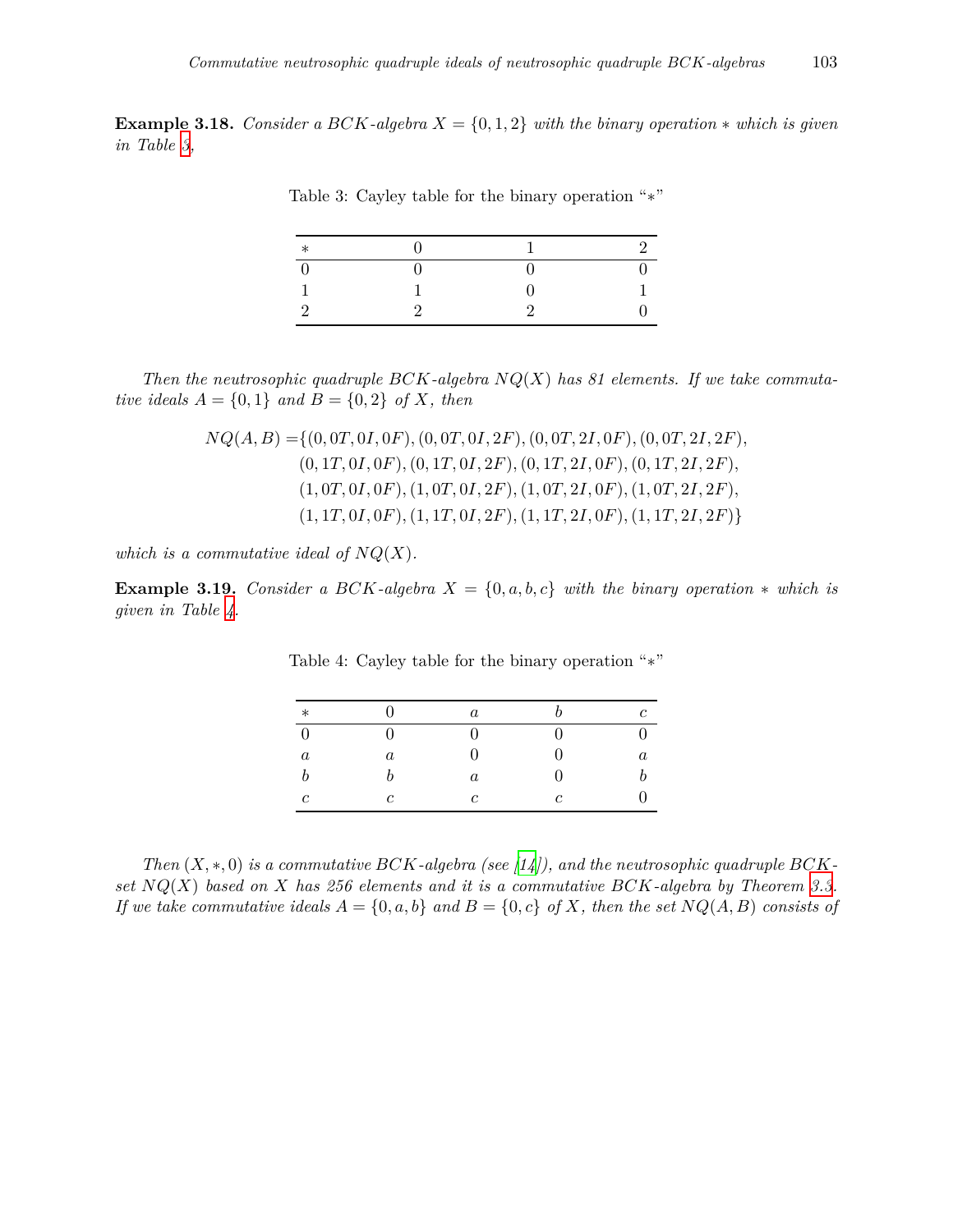<span id="page-8-0"></span>**Example 3.18.** *Consider a BCK-algebra*  $X = \{0, 1, 2\}$  *with the binary operation*  $*$  *which is given in Table [3,](#page-8-0)*

| $\ast$ |  |  |
|--------|--|--|
|        |  |  |
|        |  |  |
|        |  |  |

Table 3: Cayley table for the binary operation "*∗*"

*Then the neutrosophic quadruple BCK-algebra NQ*(*X*) *has 81 elements. If we take commutative ideals*  $A = \{0, 1\}$  *and*  $B = \{0, 2\}$  *of X, then* 

$$
NQ(A, B) = \{(0, 0T, 0I, 0F), (0, 0T, 0I, 2F), (0, 0T, 2I, 0F), (0, 0T, 2I, 2F), (0, 1T, 0I, 0F), (0, 1T, 0I, 2F), (0, 1T, 2I, 0F), (0, 1T, 2I, 2F), (1, 0T, 0I, 0F), (1, 0T, 0I, 2F), (1, 0T, 2I, 0F), (1, 0T, 2I, 2F), (1, 1T, 0I, 0F), (1, 1T, 0I, 2F), (1, 1T, 2I, 0F), (1, 1T, 2I, 2F)\}
$$

*which is a commutative ideal of*  $NQ(X)$ *.* 

<span id="page-8-1"></span>**Example 3.19.** *Consider a BCK-algebra*  $X = \{0, a, b, c\}$  *with the binary operation*  $*$  *which is given in Table [4](#page-8-1).*

| $\ast$           |                | $\boldsymbol{a}$ |                | ↷       |
|------------------|----------------|------------------|----------------|---------|
| $\theta$         |                |                  |                |         |
| $\boldsymbol{a}$ | $\it a$        | 0                |                | $\it a$ |
| b                |                | $\it a$          |                |         |
| с                | $\mathfrak{c}$ | $\mathfrak c$    | $\mathfrak{c}$ |         |

Table 4: Cayley table for the binary operation "*∗*"

*Then*  $(X, * , 0)$  *is a commutative BCK-algebra (see [[14](#page-10-9)]), and the neutrosophic quadruple BCK set NQ*(*X*) *based on X has 256 elements and it is a commutative BCK-algebra by Theorem [3.3.](#page-2-0) If we take commutative ideals*  $A = \{0, a, b\}$  *and*  $B = \{0, c\}$  *of X, then the set*  $NQ(A, B)$  *consists of*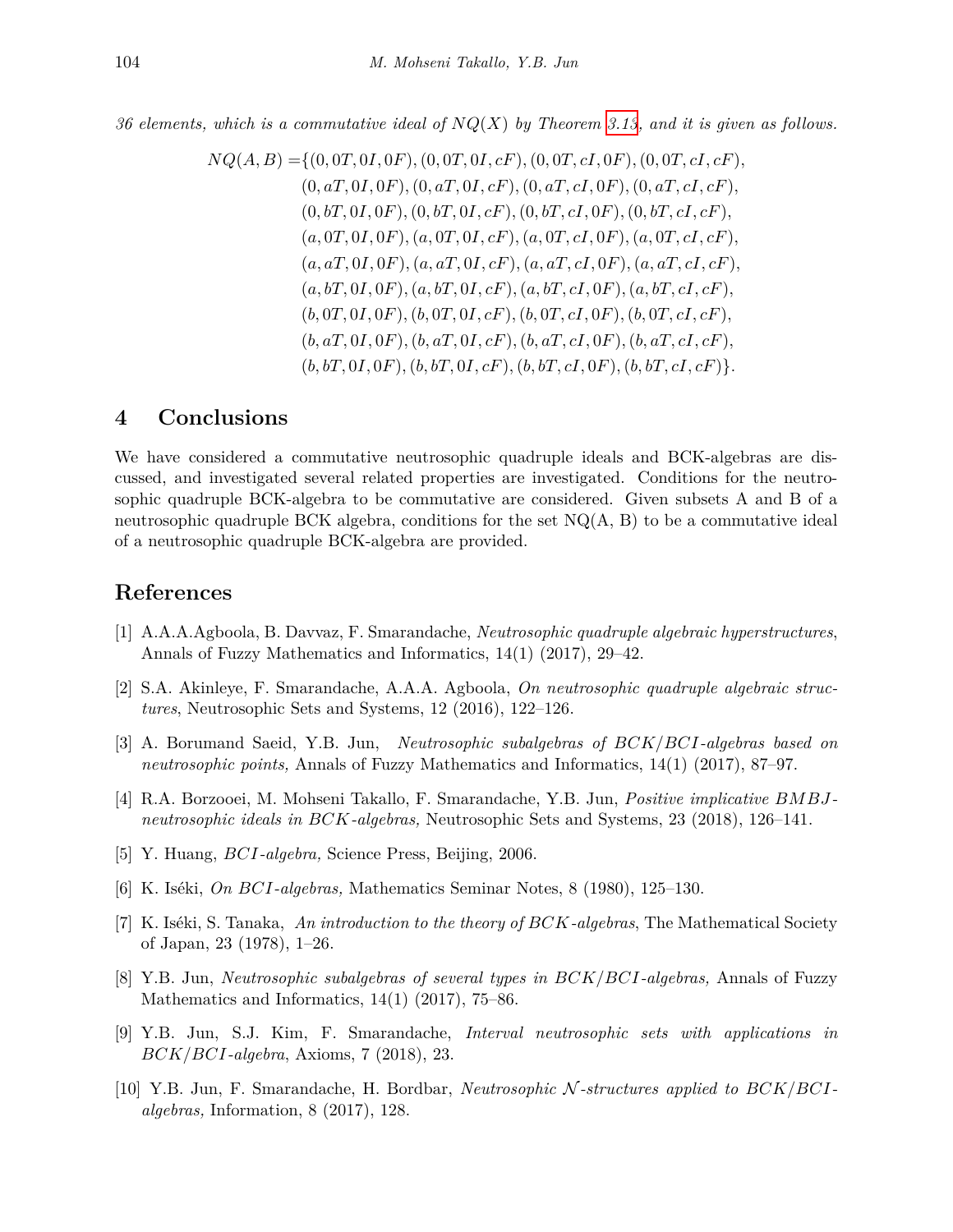*36 elements, which is a commutative ideal of NQ*(*X*) *by Theorem [3.13,](#page-6-2) and it is given as follows.*

$$
NQ(A, B) = \{(0, 0T, 0I, 0F), (0, 0T, 0I, cF), (0, 0T, cI, 0F), (0, 0T, cI, cF),(0, aT, 0I, 0F), (0, aT, 0I, cF), (0, aT, cI, 0F), (0, aT, cI, cF),(0, bT, 0I, 0F), (0, bT, 0I, cF), (0, bT, cI, 0F), (0, bT, cI, cF),(a, 0T, 0I, 0F), (a, 0T, 0I, cF), (a, 0T, cI, 0F), (a, 0T, cI, cF),(a, aT, 0I, 0F), (a, aT, 0I, cF), (a, aT, cI, 0F), (a, aT, cI, cF),(a, bT, 0I, 0F), (a, bT, 0I, cF), (a, bT, cI, 0F), (a, bT, cI, cF),(b, 0T, 0I, 0F), (b, 0T, 0I, cF), (b, 0T, cI, 0F), (b, 0T, cI, cF),(b, aT, 0I, 0F), (b, aT, 0I, cF), (b, aT, cI, 0F), (b, aT, cI, cF),(b, bT, 0I, 0F), (b, bT, 0I, cF), (b, bT, cI, 0F), (b, bT, cI, cF)\}.
$$

### **4 Conclusions**

We have considered a commutative neutrosophic quadruple ideals and BCK-algebras are discussed, and investigated several related properties are investigated. Conditions for the neutrosophic quadruple BCK-algebra to be commutative are considered. Given subsets A and B of a neutrosophic quadruple BCK algebra, conditions for the set  $NQ(A, B)$  to be a commutative ideal of a neutrosophic quadruple BCK-algebra are provided.

### **References**

- <span id="page-9-4"></span>[1] A.A.A.Agboola, B. Davvaz, F. Smarandache, *Neutrosophic quadruple algebraic hyperstructures*, Annals of Fuzzy Mathematics and Informatics, 14(1) (2017), 29–42.
- <span id="page-9-5"></span>[2] S.A. Akinleye, F. Smarandache, A.A.A. Agboola, *On neutrosophic quadruple algebraic structures*, Neutrosophic Sets and Systems, 12 (2016), 122–126.
- <span id="page-9-0"></span>[3] A. Borumand Saeid, Y.B. Jun, *Neutrosophic subalgebras of BCK/BCI-algebras based on neutrosophic points,* Annals of Fuzzy Mathematics and Informatics, 14(1) (2017), 87–97.
- [4] R.A. Borzooei, M. Mohseni Takallo, F. Smarandache, Y.B. Jun, *Positive implicative BMBJneutrosophic ideals in BCK-algebras,* Neutrosophic Sets and Systems, 23 (2018), 126–141.
- <span id="page-9-8"></span>[5] Y. Huang, *BCI-algebra,* Science Press, Beijing, 2006.
- <span id="page-9-6"></span>[6] K. Iséki, *On BCI-algebras,* Mathematics Seminar Notes, 8 (1980), 125–130.
- <span id="page-9-7"></span>[7] K. Iséki, S. Tanaka, *An introduction to the theory of BCK-algebras*, The Mathematical Society of Japan, 23 (1978), 1–26.
- <span id="page-9-1"></span>[8] Y.B. Jun, *Neutrosophic subalgebras of several types in BCK/BCI-algebras,* Annals of Fuzzy Mathematics and Informatics,  $14(1)$   $(2017)$ ,  $75-86$ .
- <span id="page-9-2"></span>[9] Y.B. Jun, S.J. Kim, F. Smarandache, *Interval neutrosophic sets with applications in BCK/BCI-algebra*, Axioms, 7 (2018), 23.
- <span id="page-9-3"></span>[10] Y.B. Jun, F. Smarandache, H. Bordbar, *Neutrosophic N -structures applied to BCK/BCIalgebras,* Information, 8 (2017), 128.